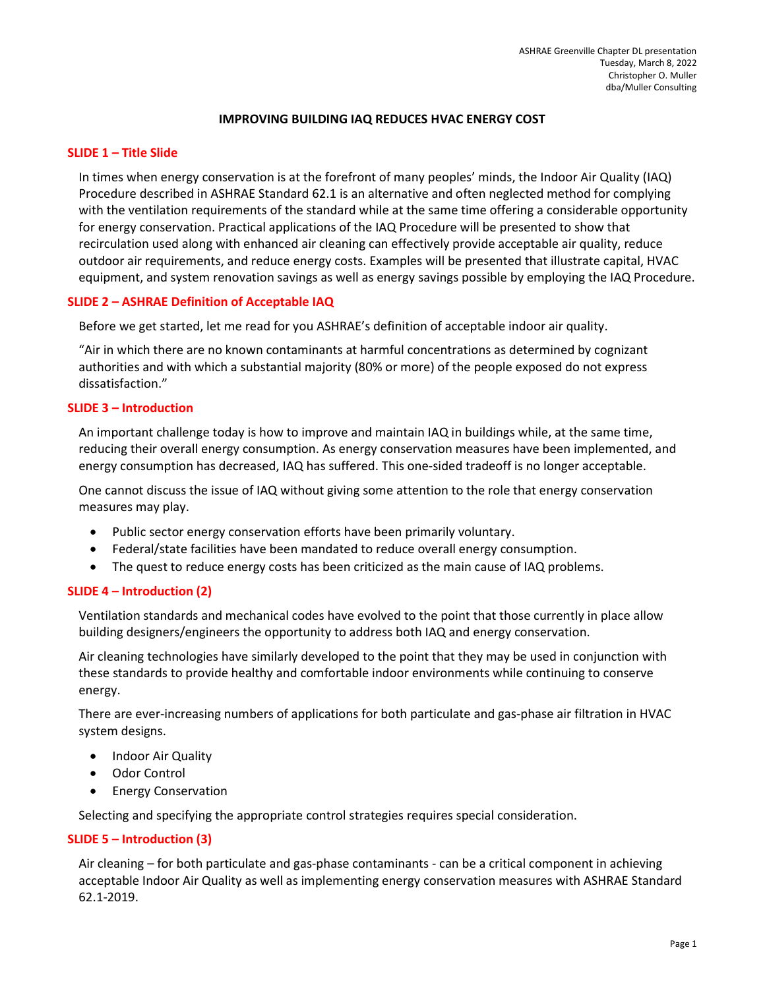# IMPROVING BUILDING IAQ REDUCES HVAC ENERGY COST

## SLIDE 1 – Title Slide

In times when energy conservation is at the forefront of many peoples' minds, the Indoor Air Quality (IAQ) Procedure described in ASHRAE Standard 62.1 is an alternative and often neglected method for complying with the ventilation requirements of the standard while at the same time offering a considerable opportunity for energy conservation. Practical applications of the IAQ Procedure will be presented to show that recirculation used along with enhanced air cleaning can effectively provide acceptable air quality, reduce outdoor air requirements, and reduce energy costs. Examples will be presented that illustrate capital, HVAC equipment, and system renovation savings as well as energy savings possible by employing the IAQ Procedure.

# SLIDE 2 – ASHRAE Definition of Acceptable IAQ

Before we get started, let me read for you ASHRAE's definition of acceptable indoor air quality.

"Air in which there are no known contaminants at harmful concentrations as determined by cognizant authorities and with which a substantial majority (80% or more) of the people exposed do not express dissatisfaction."

## SLIDE 3 – Introduction

An important challenge today is how to improve and maintain IAQ in buildings while, at the same time, reducing their overall energy consumption. As energy conservation measures have been implemented, and energy consumption has decreased, IAQ has suffered. This one-sided tradeoff is no longer acceptable.

One cannot discuss the issue of IAQ without giving some attention to the role that energy conservation measures may play.

- Public sector energy conservation efforts have been primarily voluntary.
- Federal/state facilities have been mandated to reduce overall energy consumption.
- The quest to reduce energy costs has been criticized as the main cause of IAQ problems.

#### SLIDE 4 – Introduction (2)

Ventilation standards and mechanical codes have evolved to the point that those currently in place allow building designers/engineers the opportunity to address both IAQ and energy conservation.

Air cleaning technologies have similarly developed to the point that they may be used in conjunction with these standards to provide healthy and comfortable indoor environments while continuing to conserve energy.

There are ever-increasing numbers of applications for both particulate and gas-phase air filtration in HVAC system designs.

- Indoor Air Quality
- Odor Control
- **•** Energy Conservation

Selecting and specifying the appropriate control strategies requires special consideration.

#### SLIDE 5 – Introduction (3)

Air cleaning – for both particulate and gas-phase contaminants - can be a critical component in achieving acceptable Indoor Air Quality as well as implementing energy conservation measures with ASHRAE Standard 62.1-2019.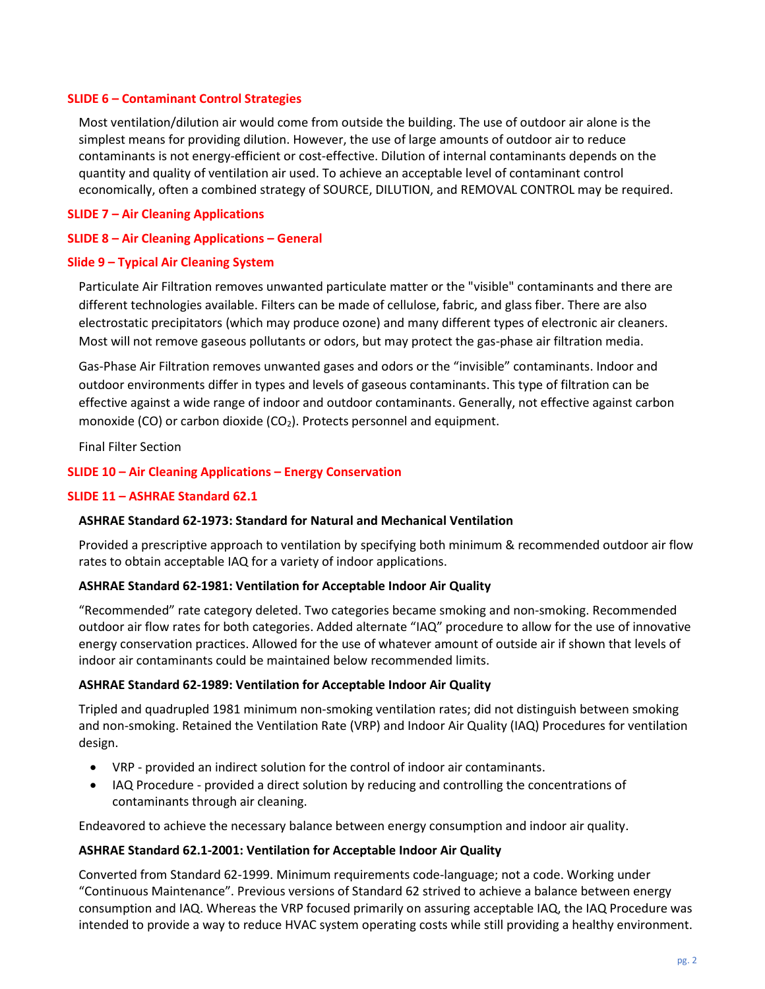## SLIDE 6 – Contaminant Control Strategies

Most ventilation/dilution air would come from outside the building. The use of outdoor air alone is the simplest means for providing dilution. However, the use of large amounts of outdoor air to reduce contaminants is not energy-efficient or cost-effective. Dilution of internal contaminants depends on the quantity and quality of ventilation air used. To achieve an acceptable level of contaminant control economically, often a combined strategy of SOURCE, DILUTION, and REMOVAL CONTROL may be required.

## SLIDE 7 – Air Cleaning Applications

## SLIDE 8 – Air Cleaning Applications – General

#### Slide 9 – Typical Air Cleaning System

Particulate Air Filtration removes unwanted particulate matter or the "visible" contaminants and there are different technologies available. Filters can be made of cellulose, fabric, and glass fiber. There are also electrostatic precipitators (which may produce ozone) and many different types of electronic air cleaners. Most will not remove gaseous pollutants or odors, but may protect the gas-phase air filtration media.

Gas-Phase Air Filtration removes unwanted gases and odors or the "invisible" contaminants. Indoor and outdoor environments differ in types and levels of gaseous contaminants. This type of filtration can be effective against a wide range of indoor and outdoor contaminants. Generally, not effective against carbon monoxide (CO) or carbon dioxide (CO<sub>2</sub>). Protects personnel and equipment.

Final Filter Section

## SLIDE 10 – Air Cleaning Applications – Energy Conservation

#### SLIDE 11 – ASHRAE Standard 62.1

#### ASHRAE Standard 62-1973: Standard for Natural and Mechanical Ventilation

Provided a prescriptive approach to ventilation by specifying both minimum & recommended outdoor air flow rates to obtain acceptable IAQ for a variety of indoor applications.

#### ASHRAE Standard 62-1981: Ventilation for Acceptable Indoor Air Quality

"Recommended" rate category deleted. Two categories became smoking and non-smoking. Recommended outdoor air flow rates for both categories. Added alternate "IAQ" procedure to allow for the use of innovative energy conservation practices. Allowed for the use of whatever amount of outside air if shown that levels of indoor air contaminants could be maintained below recommended limits.

#### ASHRAE Standard 62-1989: Ventilation for Acceptable Indoor Air Quality

Tripled and quadrupled 1981 minimum non-smoking ventilation rates; did not distinguish between smoking and non-smoking. Retained the Ventilation Rate (VRP) and Indoor Air Quality (IAQ) Procedures for ventilation design.

- VRP provided an indirect solution for the control of indoor air contaminants.
- IAQ Procedure provided a direct solution by reducing and controlling the concentrations of contaminants through air cleaning.

Endeavored to achieve the necessary balance between energy consumption and indoor air quality.

### ASHRAE Standard 62.1-2001: Ventilation for Acceptable Indoor Air Quality

Converted from Standard 62-1999. Minimum requirements code-language; not a code. Working under "Continuous Maintenance". Previous versions of Standard 62 strived to achieve a balance between energy consumption and IAQ. Whereas the VRP focused primarily on assuring acceptable IAQ, the IAQ Procedure was intended to provide a way to reduce HVAC system operating costs while still providing a healthy environment.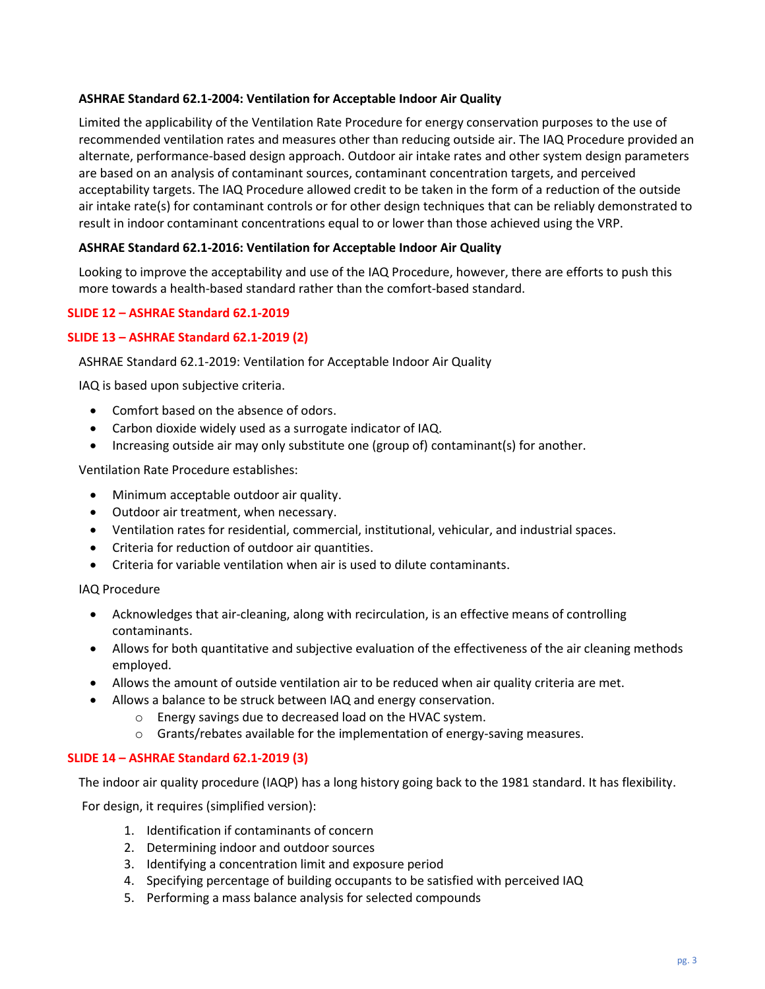# ASHRAE Standard 62.1-2004: Ventilation for Acceptable Indoor Air Quality

Limited the applicability of the Ventilation Rate Procedure for energy conservation purposes to the use of recommended ventilation rates and measures other than reducing outside air. The IAQ Procedure provided an alternate, performance-based design approach. Outdoor air intake rates and other system design parameters are based on an analysis of contaminant sources, contaminant concentration targets, and perceived acceptability targets. The IAQ Procedure allowed credit to be taken in the form of a reduction of the outside air intake rate(s) for contaminant controls or for other design techniques that can be reliably demonstrated to result in indoor contaminant concentrations equal to or lower than those achieved using the VRP.

# ASHRAE Standard 62.1-2016: Ventilation for Acceptable Indoor Air Quality

Looking to improve the acceptability and use of the IAQ Procedure, however, there are efforts to push this more towards a health-based standard rather than the comfort-based standard.

# SLIDE 12 – ASHRAE Standard 62.1-2019

# SLIDE 13 – ASHRAE Standard 62.1-2019 (2)

# ASHRAE Standard 62.1-2019: Ventilation for Acceptable Indoor Air Quality

IAQ is based upon subjective criteria.

- Comfort based on the absence of odors.
- Carbon dioxide widely used as a surrogate indicator of IAQ.
- Increasing outside air may only substitute one (group of) contaminant(s) for another.

Ventilation Rate Procedure establishes:

- Minimum acceptable outdoor air quality.
- Outdoor air treatment, when necessary.
- Ventilation rates for residential, commercial, institutional, vehicular, and industrial spaces.
- Criteria for reduction of outdoor air quantities.
- Criteria for variable ventilation when air is used to dilute contaminants.

IAQ Procedure

- Acknowledges that air-cleaning, along with recirculation, is an effective means of controlling contaminants.
- Allows for both quantitative and subjective evaluation of the effectiveness of the air cleaning methods employed.
- Allows the amount of outside ventilation air to be reduced when air quality criteria are met.
- Allows a balance to be struck between IAQ and energy conservation.
	- o Energy savings due to decreased load on the HVAC system.
	- o Grants/rebates available for the implementation of energy-saving measures.

# SLIDE 14 – ASHRAE Standard 62.1-2019 (3)

The indoor air quality procedure (IAQP) has a long history going back to the 1981 standard. It has flexibility.

For design, it requires (simplified version):

- 1. Identification if contaminants of concern
- 2. Determining indoor and outdoor sources
- 3. Identifying a concentration limit and exposure period
- 4. Specifying percentage of building occupants to be satisfied with perceived IAQ
- 5. Performing a mass balance analysis for selected compounds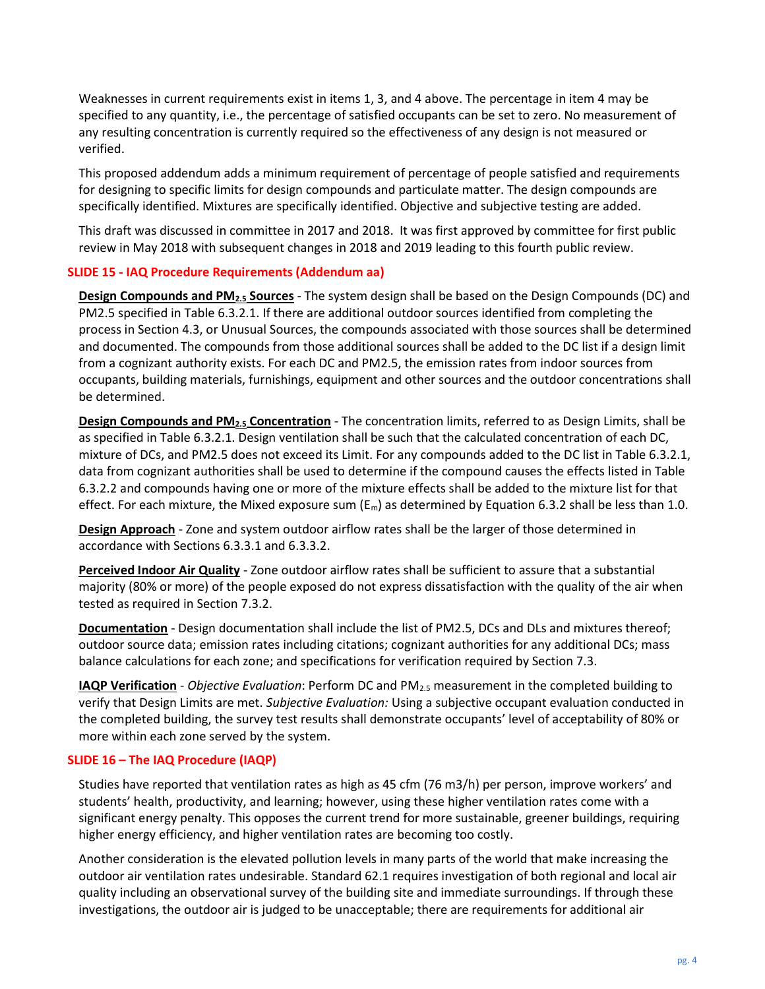Weaknesses in current requirements exist in items 1, 3, and 4 above. The percentage in item 4 may be specified to any quantity, i.e., the percentage of satisfied occupants can be set to zero. No measurement of any resulting concentration is currently required so the effectiveness of any design is not measured or verified.

This proposed addendum adds a minimum requirement of percentage of people satisfied and requirements for designing to specific limits for design compounds and particulate matter. The design compounds are specifically identified. Mixtures are specifically identified. Objective and subjective testing are added.

This draft was discussed in committee in 2017 and 2018. It was first approved by committee for first public review in May 2018 with subsequent changes in 2018 and 2019 leading to this fourth public review.

# SLIDE 15 - IAQ Procedure Requirements (Addendum aa)

Design Compounds and PM2.5 Sources - The system design shall be based on the Design Compounds (DC) and PM2.5 specified in Table 6.3.2.1. If there are additional outdoor sources identified from completing the process in Section 4.3, or Unusual Sources, the compounds associated with those sources shall be determined and documented. The compounds from those additional sources shall be added to the DC list if a design limit from a cognizant authority exists. For each DC and PM2.5, the emission rates from indoor sources from occupants, building materials, furnishings, equipment and other sources and the outdoor concentrations shall be determined.

Design Compounds and PM<sub>2.5</sub> Concentration - The concentration limits, referred to as Design Limits, shall be as specified in Table 6.3.2.1. Design ventilation shall be such that the calculated concentration of each DC, mixture of DCs, and PM2.5 does not exceed its Limit. For any compounds added to the DC list in Table 6.3.2.1, data from cognizant authorities shall be used to determine if the compound causes the effects listed in Table 6.3.2.2 and compounds having one or more of the mixture effects shall be added to the mixture list for that effect. For each mixture, the Mixed exposure sum ( $E_m$ ) as determined by Equation 6.3.2 shall be less than 1.0.

Design Approach - Zone and system outdoor airflow rates shall be the larger of those determined in accordance with Sections 6.3.3.1 and 6.3.3.2.

Perceived Indoor Air Quality - Zone outdoor airflow rates shall be sufficient to assure that a substantial majority (80% or more) of the people exposed do not express dissatisfaction with the quality of the air when tested as required in Section 7.3.2.

Documentation - Design documentation shall include the list of PM2.5, DCs and DLs and mixtures thereof; outdoor source data; emission rates including citations; cognizant authorities for any additional DCs; mass balance calculations for each zone; and specifications for verification required by Section 7.3.

IAQP Verification - Objective Evaluation: Perform DC and PM<sub>2.5</sub> measurement in the completed building to verify that Design Limits are met. Subjective Evaluation: Using a subjective occupant evaluation conducted in the completed building, the survey test results shall demonstrate occupants' level of acceptability of 80% or more within each zone served by the system.

# SLIDE 16 – The IAQ Procedure (IAQP)

Studies have reported that ventilation rates as high as 45 cfm (76 m3/h) per person, improve workers' and students' health, productivity, and learning; however, using these higher ventilation rates come with a significant energy penalty. This opposes the current trend for more sustainable, greener buildings, requiring higher energy efficiency, and higher ventilation rates are becoming too costly.

Another consideration is the elevated pollution levels in many parts of the world that make increasing the outdoor air ventilation rates undesirable. Standard 62.1 requires investigation of both regional and local air quality including an observational survey of the building site and immediate surroundings. If through these investigations, the outdoor air is judged to be unacceptable; there are requirements for additional air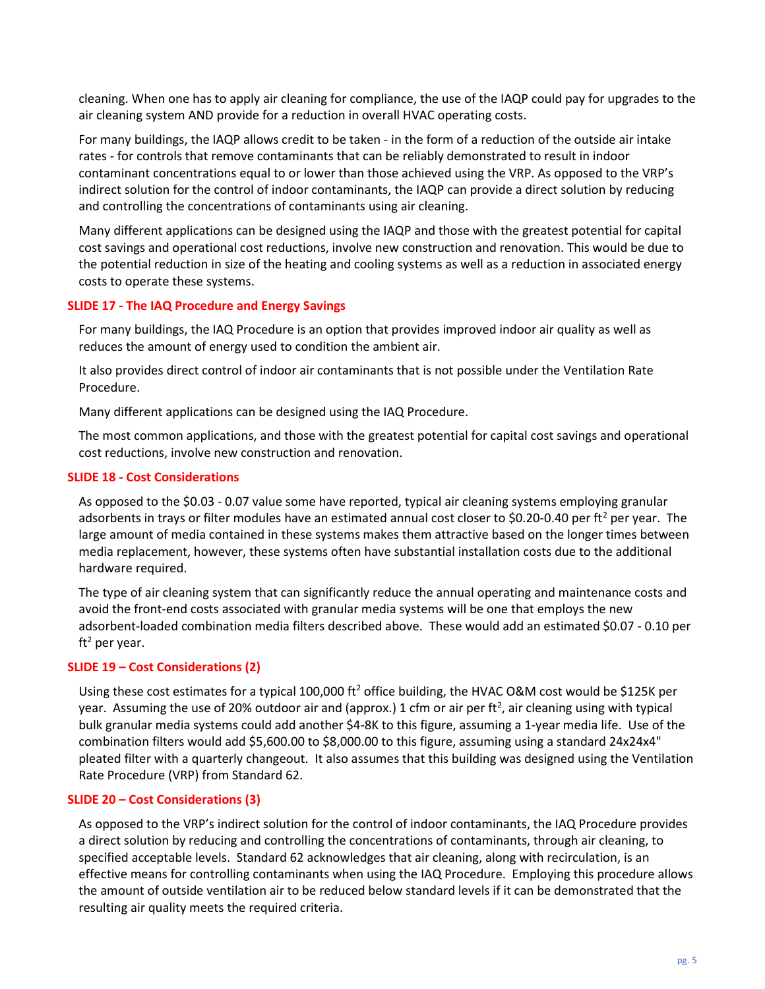cleaning. When one has to apply air cleaning for compliance, the use of the IAQP could pay for upgrades to the air cleaning system AND provide for a reduction in overall HVAC operating costs.

For many buildings, the IAQP allows credit to be taken - in the form of a reduction of the outside air intake rates - for controls that remove contaminants that can be reliably demonstrated to result in indoor contaminant concentrations equal to or lower than those achieved using the VRP. As opposed to the VRP's indirect solution for the control of indoor contaminants, the IAQP can provide a direct solution by reducing and controlling the concentrations of contaminants using air cleaning.

Many different applications can be designed using the IAQP and those with the greatest potential for capital cost savings and operational cost reductions, involve new construction and renovation. This would be due to the potential reduction in size of the heating and cooling systems as well as a reduction in associated energy costs to operate these systems.

## SLIDE 17 - The IAQ Procedure and Energy Savings

For many buildings, the IAQ Procedure is an option that provides improved indoor air quality as well as reduces the amount of energy used to condition the ambient air.

It also provides direct control of indoor air contaminants that is not possible under the Ventilation Rate Procedure.

Many different applications can be designed using the IAQ Procedure.

The most common applications, and those with the greatest potential for capital cost savings and operational cost reductions, involve new construction and renovation.

#### SLIDE 18 - Cost Considerations

As opposed to the \$0.03 - 0.07 value some have reported, typical air cleaning systems employing granular adsorbents in trays or filter modules have an estimated annual cost closer to \$0.20-0.40 per ft<sup>2</sup> per year. The large amount of media contained in these systems makes them attractive based on the longer times between media replacement, however, these systems often have substantial installation costs due to the additional hardware required.

The type of air cleaning system that can significantly reduce the annual operating and maintenance costs and avoid the front-end costs associated with granular media systems will be one that employs the new adsorbent-loaded combination media filters described above. These would add an estimated \$0.07 - 0.10 per ft<sup>2</sup> per year.

#### SLIDE 19 – Cost Considerations (2)

Using these cost estimates for a typical 100,000 ft<sup>2</sup> office building, the HVAC O&M cost would be \$125K per year. Assuming the use of 20% outdoor air and (approx.) 1 cfm or air per ft<sup>2</sup>, air cleaning using with typical bulk granular media systems could add another \$4-8K to this figure, assuming a 1-year media life. Use of the combination filters would add \$5,600.00 to \$8,000.00 to this figure, assuming using a standard 24x24x4" pleated filter with a quarterly changeout. It also assumes that this building was designed using the Ventilation Rate Procedure (VRP) from Standard 62.

#### SLIDE 20 – Cost Considerations (3)

As opposed to the VRP's indirect solution for the control of indoor contaminants, the IAQ Procedure provides a direct solution by reducing and controlling the concentrations of contaminants, through air cleaning, to specified acceptable levels. Standard 62 acknowledges that air cleaning, along with recirculation, is an effective means for controlling contaminants when using the IAQ Procedure. Employing this procedure allows the amount of outside ventilation air to be reduced below standard levels if it can be demonstrated that the resulting air quality meets the required criteria.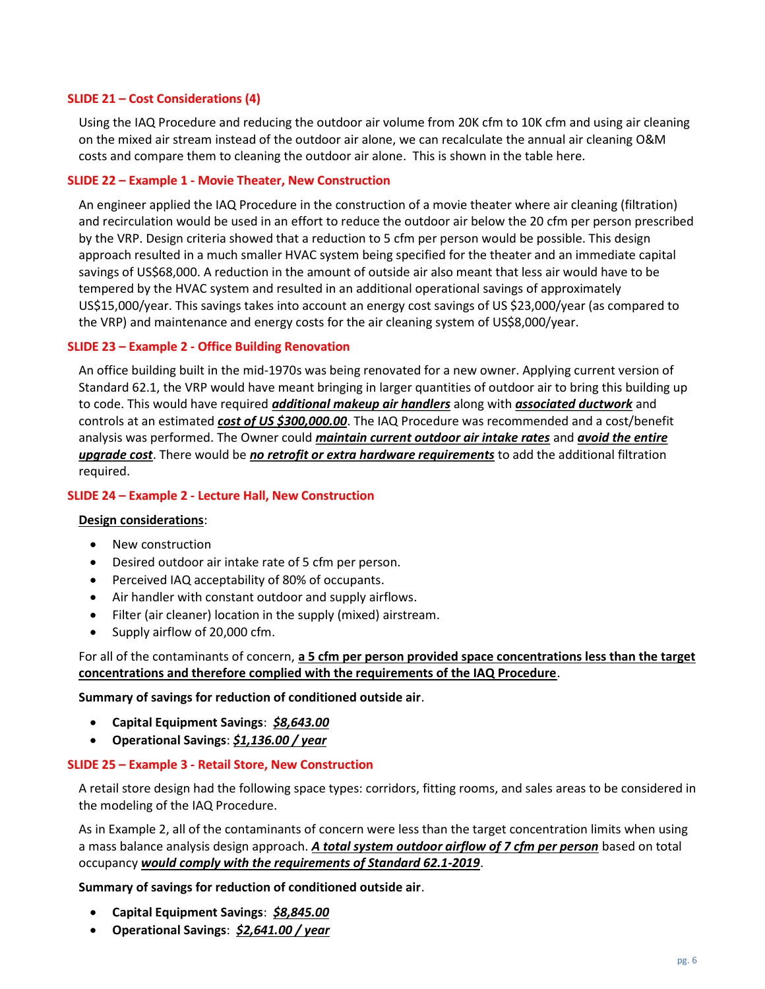#### SLIDE 21 – Cost Considerations (4)

Using the IAQ Procedure and reducing the outdoor air volume from 20K cfm to 10K cfm and using air cleaning on the mixed air stream instead of the outdoor air alone, we can recalculate the annual air cleaning O&M costs and compare them to cleaning the outdoor air alone. This is shown in the table here.

## SLIDE 22 – Example 1 - Movie Theater, New Construction

An engineer applied the IAQ Procedure in the construction of a movie theater where air cleaning (filtration) and recirculation would be used in an effort to reduce the outdoor air below the 20 cfm per person prescribed by the VRP. Design criteria showed that a reduction to 5 cfm per person would be possible. This design approach resulted in a much smaller HVAC system being specified for the theater and an immediate capital savings of US\$68,000. A reduction in the amount of outside air also meant that less air would have to be tempered by the HVAC system and resulted in an additional operational savings of approximately US\$15,000/year. This savings takes into account an energy cost savings of US \$23,000/year (as compared to the VRP) and maintenance and energy costs for the air cleaning system of US\$8,000/year.

## SLIDE 23 – Example 2 - Office Building Renovation

An office building built in the mid-1970s was being renovated for a new owner. Applying current version of Standard 62.1, the VRP would have meant bringing in larger quantities of outdoor air to bring this building up to code. This would have required *additional makeup air handlers* along with *associated ductwork* and controls at an estimated cost of US \$300,000.00. The IAQ Procedure was recommended and a cost/benefit analysis was performed. The Owner could *maintain current outdoor air intake rates* and *avoid the entire* upgrade cost. There would be no retrofit or extra hardware requirements to add the additional filtration required.

#### SLIDE 24 – Example 2 - Lecture Hall, New Construction

#### Design considerations:

- New construction
- Desired outdoor air intake rate of 5 cfm per person.
- Perceived IAQ acceptability of 80% of occupants.
- Air handler with constant outdoor and supply airflows.
- Filter (air cleaner) location in the supply (mixed) airstream.
- Supply airflow of 20,000 cfm.

# For all of the contaminants of concern, a 5 cfm per person provided space concentrations less than the target concentrations and therefore complied with the requirements of the IAQ Procedure.

#### Summary of savings for reduction of conditioned outside air.

- Capital Equipment Savings: \$8,643.00
- Operational Savings: \$1,136.00 / year

#### SLIDE 25 – Example 3 - Retail Store, New Construction

A retail store design had the following space types: corridors, fitting rooms, and sales areas to be considered in the modeling of the IAQ Procedure.

As in Example 2, all of the contaminants of concern were less than the target concentration limits when using a mass balance analysis design approach. A total system outdoor airflow of 7 cfm per person based on total occupancy would comply with the requirements of Standard 62.1-2019.

Summary of savings for reduction of conditioned outside air.

- Capital Equipment Savings: \$8,845.00
- Operational Savings: \$2,641.00 / year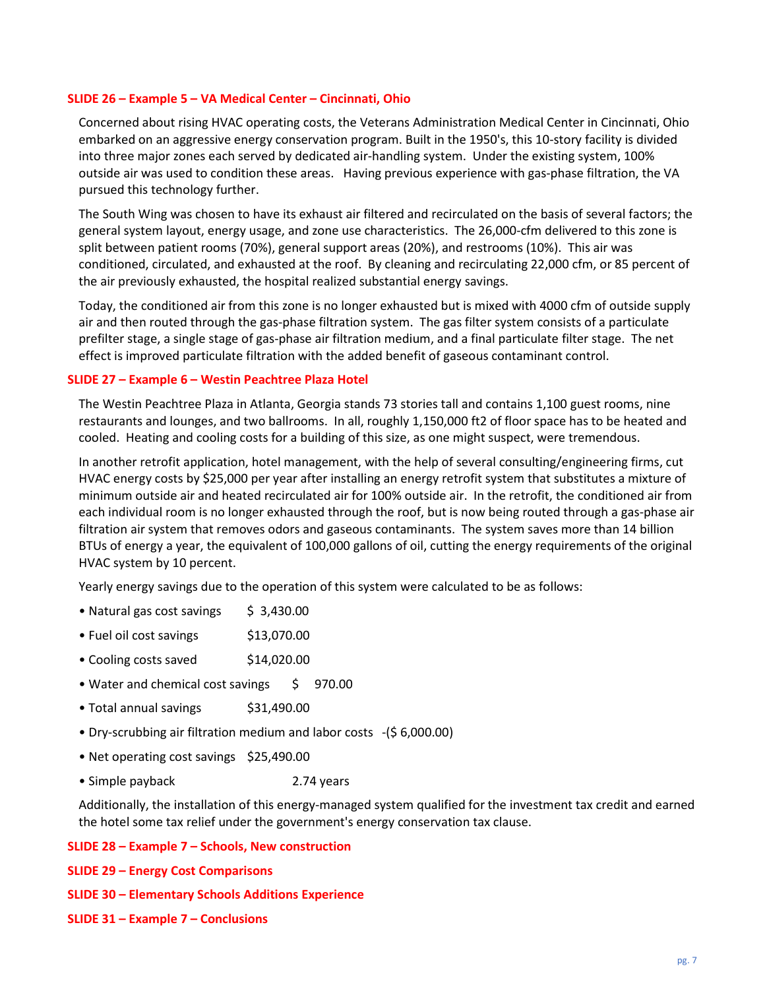### SLIDE 26 – Example 5 – VA Medical Center – Cincinnati, Ohio

Concerned about rising HVAC operating costs, the Veterans Administration Medical Center in Cincinnati, Ohio embarked on an aggressive energy conservation program. Built in the 1950's, this 10-story facility is divided into three major zones each served by dedicated air-handling system. Under the existing system, 100% outside air was used to condition these areas. Having previous experience with gas-phase filtration, the VA pursued this technology further.

The South Wing was chosen to have its exhaust air filtered and recirculated on the basis of several factors; the general system layout, energy usage, and zone use characteristics. The 26,000-cfm delivered to this zone is split between patient rooms (70%), general support areas (20%), and restrooms (10%). This air was conditioned, circulated, and exhausted at the roof. By cleaning and recirculating 22,000 cfm, or 85 percent of the air previously exhausted, the hospital realized substantial energy savings.

Today, the conditioned air from this zone is no longer exhausted but is mixed with 4000 cfm of outside supply air and then routed through the gas-phase filtration system. The gas filter system consists of a particulate prefilter stage, a single stage of gas-phase air filtration medium, and a final particulate filter stage. The net effect is improved particulate filtration with the added benefit of gaseous contaminant control.

#### SLIDE 27 – Example 6 – Westin Peachtree Plaza Hotel

The Westin Peachtree Plaza in Atlanta, Georgia stands 73 stories tall and contains 1,100 guest rooms, nine restaurants and lounges, and two ballrooms. In all, roughly 1,150,000 ft2 of floor space has to be heated and cooled. Heating and cooling costs for a building of this size, as one might suspect, were tremendous.

In another retrofit application, hotel management, with the help of several consulting/engineering firms, cut HVAC energy costs by \$25,000 per year after installing an energy retrofit system that substitutes a mixture of minimum outside air and heated recirculated air for 100% outside air. In the retrofit, the conditioned air from each individual room is no longer exhausted through the roof, but is now being routed through a gas-phase air filtration air system that removes odors and gaseous contaminants. The system saves more than 14 billion BTUs of energy a year, the equivalent of 100,000 gallons of oil, cutting the energy requirements of the original HVAC system by 10 percent.

Yearly energy savings due to the operation of this system were calculated to be as follows:

- Natural gas cost savings  $\frac{1}{5}$  3,430.00
- Fuel oil cost savings \$13,070.00
- Cooling costs saved \$14,020.00
- Water and chemical cost savings \$ 970.00
- Total annual savings \$31,490.00
- Dry-scrubbing air filtration medium and labor costs -(\$ 6,000.00)
- Net operating cost savings \$25,490.00
- Simple payback 2.74 years

Additionally, the installation of this energy-managed system qualified for the investment tax credit and earned the hotel some tax relief under the government's energy conservation tax clause.

#### SLIDE 28 – Example 7 – Schools, New construction

- SLIDE 29 Energy Cost Comparisons
- SLIDE 30 Elementary Schools Additions Experience
- SLIDE 31 Example 7 Conclusions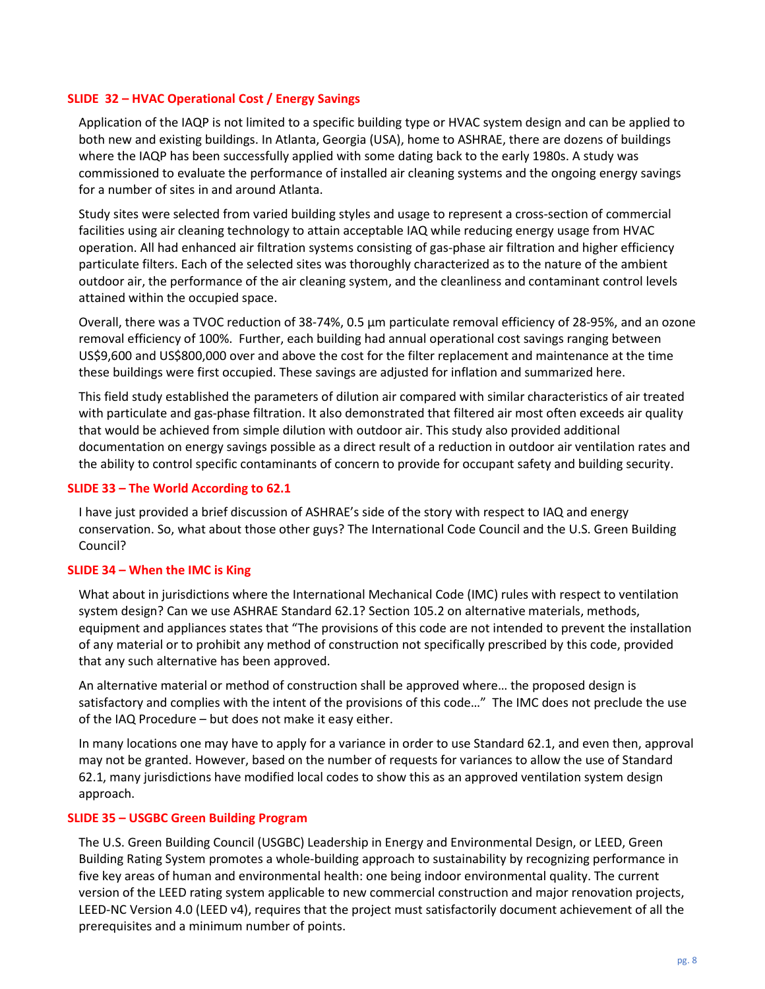## SLIDE 32 – HVAC Operational Cost / Energy Savings

Application of the IAQP is not limited to a specific building type or HVAC system design and can be applied to both new and existing buildings. In Atlanta, Georgia (USA), home to ASHRAE, there are dozens of buildings where the IAQP has been successfully applied with some dating back to the early 1980s. A study was commissioned to evaluate the performance of installed air cleaning systems and the ongoing energy savings for a number of sites in and around Atlanta.

Study sites were selected from varied building styles and usage to represent a cross-section of commercial facilities using air cleaning technology to attain acceptable IAQ while reducing energy usage from HVAC operation. All had enhanced air filtration systems consisting of gas-phase air filtration and higher efficiency particulate filters. Each of the selected sites was thoroughly characterized as to the nature of the ambient outdoor air, the performance of the air cleaning system, and the cleanliness and contaminant control levels attained within the occupied space.

Overall, there was a TVOC reduction of 38-74%, 0.5 µm particulate removal efficiency of 28-95%, and an ozone removal efficiency of 100%. Further, each building had annual operational cost savings ranging between US\$9,600 and US\$800,000 over and above the cost for the filter replacement and maintenance at the time these buildings were first occupied. These savings are adjusted for inflation and summarized here.

This field study established the parameters of dilution air compared with similar characteristics of air treated with particulate and gas-phase filtration. It also demonstrated that filtered air most often exceeds air quality that would be achieved from simple dilution with outdoor air. This study also provided additional documentation on energy savings possible as a direct result of a reduction in outdoor air ventilation rates and the ability to control specific contaminants of concern to provide for occupant safety and building security.

## SLIDE 33 – The World According to 62.1

I have just provided a brief discussion of ASHRAE's side of the story with respect to IAQ and energy conservation. So, what about those other guys? The International Code Council and the U.S. Green Building Council?

# SLIDE 34 – When the IMC is King

What about in jurisdictions where the International Mechanical Code (IMC) rules with respect to ventilation system design? Can we use ASHRAE Standard 62.1? Section 105.2 on alternative materials, methods, equipment and appliances states that "The provisions of this code are not intended to prevent the installation of any material or to prohibit any method of construction not specifically prescribed by this code, provided that any such alternative has been approved.

An alternative material or method of construction shall be approved where… the proposed design is satisfactory and complies with the intent of the provisions of this code…" The IMC does not preclude the use of the IAQ Procedure – but does not make it easy either.

In many locations one may have to apply for a variance in order to use Standard 62.1, and even then, approval may not be granted. However, based on the number of requests for variances to allow the use of Standard 62.1, many jurisdictions have modified local codes to show this as an approved ventilation system design approach.

#### SLIDE 35 – USGBC Green Building Program

The U.S. Green Building Council (USGBC) Leadership in Energy and Environmental Design, or LEED, Green Building Rating System promotes a whole-building approach to sustainability by recognizing performance in five key areas of human and environmental health: one being indoor environmental quality. The current version of the LEED rating system applicable to new commercial construction and major renovation projects, LEED-NC Version 4.0 (LEED v4), requires that the project must satisfactorily document achievement of all the prerequisites and a minimum number of points.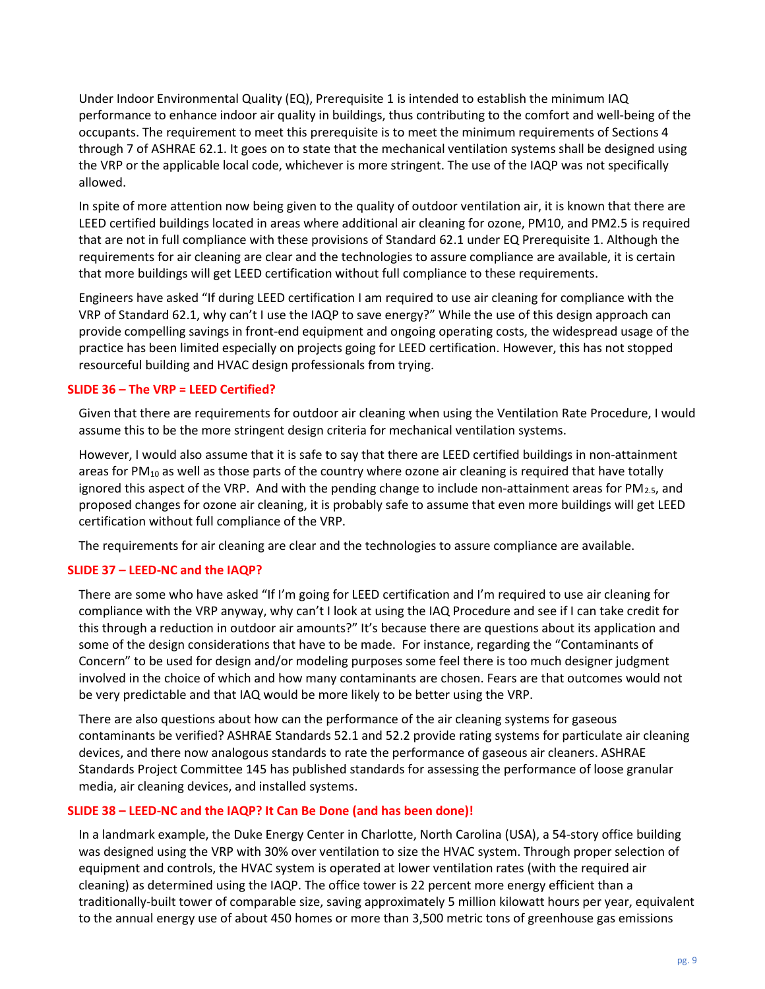Under Indoor Environmental Quality (EQ), Prerequisite 1 is intended to establish the minimum IAQ performance to enhance indoor air quality in buildings, thus contributing to the comfort and well-being of the occupants. The requirement to meet this prerequisite is to meet the minimum requirements of Sections 4 through 7 of ASHRAE 62.1. It goes on to state that the mechanical ventilation systems shall be designed using the VRP or the applicable local code, whichever is more stringent. The use of the IAQP was not specifically allowed.

In spite of more attention now being given to the quality of outdoor ventilation air, it is known that there are LEED certified buildings located in areas where additional air cleaning for ozone, PM10, and PM2.5 is required that are not in full compliance with these provisions of Standard 62.1 under EQ Prerequisite 1. Although the requirements for air cleaning are clear and the technologies to assure compliance are available, it is certain that more buildings will get LEED certification without full compliance to these requirements.

Engineers have asked "If during LEED certification I am required to use air cleaning for compliance with the VRP of Standard 62.1, why can't I use the IAQP to save energy?" While the use of this design approach can provide compelling savings in front-end equipment and ongoing operating costs, the widespread usage of the practice has been limited especially on projects going for LEED certification. However, this has not stopped resourceful building and HVAC design professionals from trying.

# SLIDE 36 – The VRP = LEED Certified?

Given that there are requirements for outdoor air cleaning when using the Ventilation Rate Procedure, I would assume this to be the more stringent design criteria for mechanical ventilation systems.

However, I would also assume that it is safe to say that there are LEED certified buildings in non-attainment areas for  $PM_{10}$  as well as those parts of the country where ozone air cleaning is required that have totally ignored this aspect of the VRP. And with the pending change to include non-attainment areas for  $PM_{2.5}$ , and proposed changes for ozone air cleaning, it is probably safe to assume that even more buildings will get LEED certification without full compliance of the VRP.

The requirements for air cleaning are clear and the technologies to assure compliance are available.

# SLIDE 37 – LEED-NC and the IAQP?

There are some who have asked "If I'm going for LEED certification and I'm required to use air cleaning for compliance with the VRP anyway, why can't I look at using the IAQ Procedure and see if I can take credit for this through a reduction in outdoor air amounts?" It's because there are questions about its application and some of the design considerations that have to be made. For instance, regarding the "Contaminants of Concern" to be used for design and/or modeling purposes some feel there is too much designer judgment involved in the choice of which and how many contaminants are chosen. Fears are that outcomes would not be very predictable and that IAQ would be more likely to be better using the VRP.

There are also questions about how can the performance of the air cleaning systems for gaseous contaminants be verified? ASHRAE Standards 52.1 and 52.2 provide rating systems for particulate air cleaning devices, and there now analogous standards to rate the performance of gaseous air cleaners. ASHRAE Standards Project Committee 145 has published standards for assessing the performance of loose granular media, air cleaning devices, and installed systems.

# SLIDE 38 – LEED-NC and the IAQP? It Can Be Done (and has been done)!

In a landmark example, the Duke Energy Center in Charlotte, North Carolina (USA), a 54-story office building was designed using the VRP with 30% over ventilation to size the HVAC system. Through proper selection of equipment and controls, the HVAC system is operated at lower ventilation rates (with the required air cleaning) as determined using the IAQP. The office tower is 22 percent more energy efficient than a traditionally-built tower of comparable size, saving approximately 5 million kilowatt hours per year, equivalent to the annual energy use of about 450 homes or more than 3,500 metric tons of greenhouse gas emissions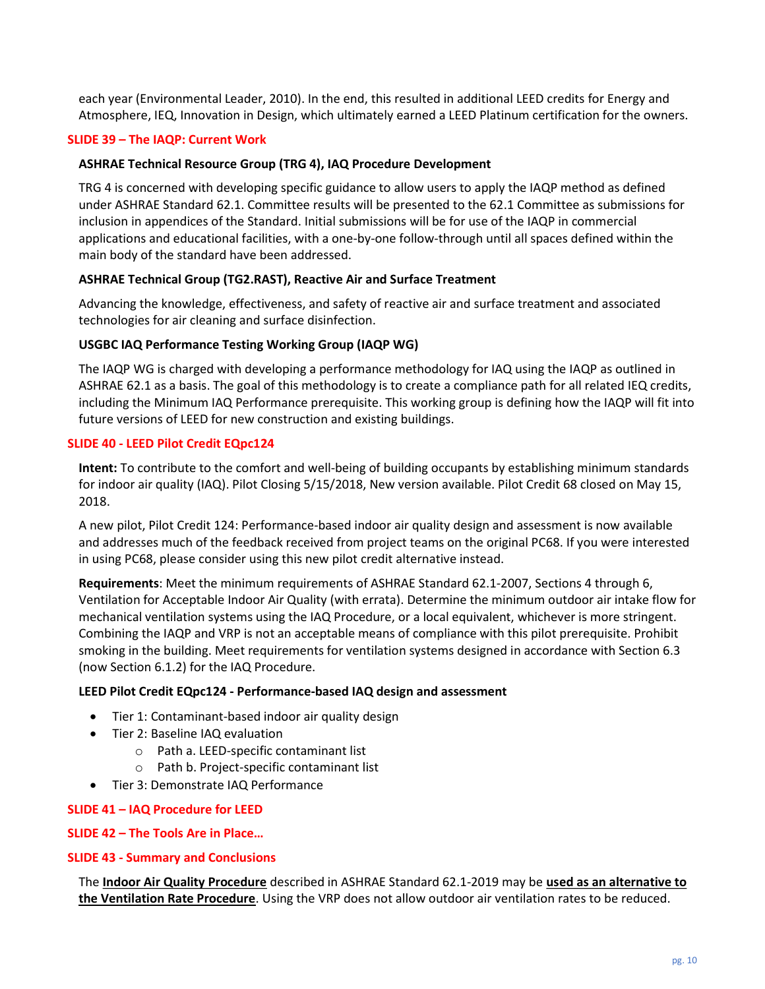each year (Environmental Leader, 2010). In the end, this resulted in additional LEED credits for Energy and Atmosphere, IEQ, Innovation in Design, which ultimately earned a LEED Platinum certification for the owners.

## SLIDE 39 – The IAQP: Current Work

#### ASHRAE Technical Resource Group (TRG 4), IAQ Procedure Development

TRG 4 is concerned with developing specific guidance to allow users to apply the IAQP method as defined under ASHRAE Standard 62.1. Committee results will be presented to the 62.1 Committee as submissions for inclusion in appendices of the Standard. Initial submissions will be for use of the IAQP in commercial applications and educational facilities, with a one-by-one follow-through until all spaces defined within the main body of the standard have been addressed.

## ASHRAE Technical Group (TG2.RAST), Reactive Air and Surface Treatment

Advancing the knowledge, effectiveness, and safety of reactive air and surface treatment and associated technologies for air cleaning and surface disinfection.

#### USGBC IAQ Performance Testing Working Group (IAQP WG)

The IAQP WG is charged with developing a performance methodology for IAQ using the IAQP as outlined in ASHRAE 62.1 as a basis. The goal of this methodology is to create a compliance path for all related IEQ credits, including the Minimum IAQ Performance prerequisite. This working group is defining how the IAQP will fit into future versions of LEED for new construction and existing buildings.

#### SLIDE 40 - LEED Pilot Credit EQpc124

Intent: To contribute to the comfort and well-being of building occupants by establishing minimum standards for indoor air quality (IAQ). Pilot Closing 5/15/2018, New version available. Pilot Credit 68 closed on May 15, 2018.

A new pilot, Pilot Credit 124: Performance-based indoor air quality design and assessment is now available and addresses much of the feedback received from project teams on the original PC68. If you were interested in using PC68, please consider using this new pilot credit alternative instead.

Requirements: Meet the minimum requirements of ASHRAE Standard 62.1-2007, Sections 4 through 6, Ventilation for Acceptable Indoor Air Quality (with errata). Determine the minimum outdoor air intake flow for mechanical ventilation systems using the IAQ Procedure, or a local equivalent, whichever is more stringent. Combining the IAQP and VRP is not an acceptable means of compliance with this pilot prerequisite. Prohibit smoking in the building. Meet requirements for ventilation systems designed in accordance with Section 6.3 (now Section 6.1.2) for the IAQ Procedure.

#### LEED Pilot Credit EQpc124 - Performance-based IAQ design and assessment

- Tier 1: Contaminant-based indoor air quality design
- Tier 2: Baseline IAQ evaluation
	- o Path a. LEED-specific contaminant list
	- o Path b. Project-specific contaminant list
- Tier 3: Demonstrate IAQ Performance

#### SLIDE 41 – IAQ Procedure for LEED

#### SLIDE 42 – The Tools Are in Place…

#### SLIDE 43 - Summary and Conclusions

The Indoor Air Quality Procedure described in ASHRAE Standard 62.1-2019 may be used as an alternative to the Ventilation Rate Procedure. Using the VRP does not allow outdoor air ventilation rates to be reduced.